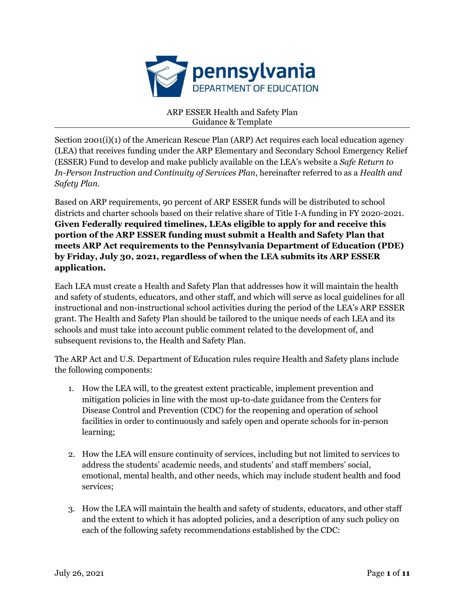

ARP ESSER Health and Safety Plan Guidance & Template

Section 2001(i)(1) of the American Rescue Plan (ARP) Act requires each local education agency (LEA) that receives funding under the ARP Elementary and Secondary School Emergency Relief (ESSER) Fund to develop and make publicly available on the LEA's website a *Safe Return to In-Person Instruction and Continuity of Services Plan*, hereinafter referred to as a *Health and Safety Plan*.

Based on ARP requirements, 90 percent of ARP ESSER funds will be distributed to school districts and charter schools based on their relative share of Title I-A funding in FY 2020-2021. **Given Federally required timelines, LEAs eligible to apply for and receive this portion of the ARP ESSER funding must submit a Health and Safety Plan that meets ARP Act requirements to the Pennsylvania Department of Education (PDE) by Friday, July 30, 2021, regardless of when the LEA submits its ARP ESSER application.**

Each LEA must create a Health and Safety Plan that addresses how it will maintain the health and safety of students, educators, and other staff, and which will serve as local guidelines for all instructional and non-instructional school activities during the period of the LEA's ARP ESSER grant. The Health and Safety Plan should be tailored to the unique needs of each LEA and its schools and must take into account public comment related to the development of, and subsequent revisions to, the Health and Safety Plan.

The ARP Act and U.S. Department of Education rules require Health and Safety plans include the following components:

- 1. How the LEA will, to the greatest extent practicable, implement prevention and mitigation policies in line with the most up-to-date guidance from the Centers for Disease Control and Prevention (CDC) for the reopening and operation of school facilities in order to continuously and safely open and operate schools for in-person learning;
- 2. How the LEA will ensure continuity of services, including but not limited to services to address the students' academic needs, and students' and staff members' social, emotional, mental health, and other needs, which may include student health and food services;
- 3. How the LEA will maintain the health and safety of students, educators, and other staff and the extent to which it has adopted policies, and a description of any such policy on each of the following safety recommendations established by the CDC: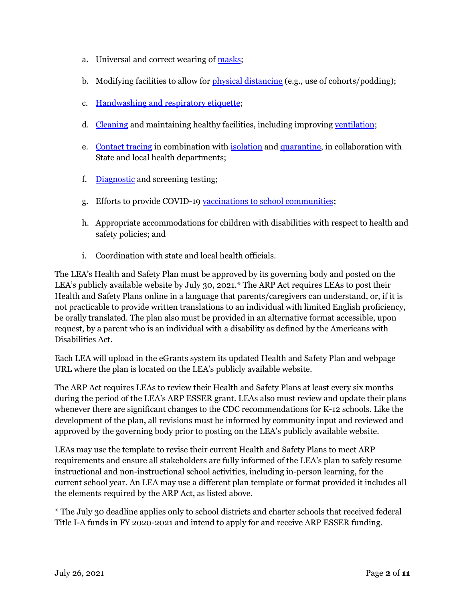- a. Universal and correct wearing of [masks](https://www.cdc.gov/coronavirus/2019-ncov/prevent-getting-sick/cloth-face-cover-guidance.html?CDC_AA_refVal=https%3A%2F%2Fwww.cdc.gov%2Fcoronavirus%2F2019-ncov%2Fcommunity%2Fschools-childcare%2Fcloth-face-cover.html);
- b. Modifying facilities to allow for physical [distancing](https://www.cdc.gov/coronavirus/2019-ncov/prevent-getting-sick/social-distancing.html) (e.g., use of cohorts/podding);
- c. [Handwashing](https://www.cdc.gov/handwashing/when-how-handwashing.html) and respiratory etiquette;
- d. [Cleaning](https://www.cdc.gov/coronavirus/2019-ncov/community/clean-disinfect/index.html) and maintaining healthy facilities, including improving [ventilation](https://www.cdc.gov/coronavirus/2019-ncov/community/schools-childcare/ventilation.html);
- e. [Contact](https://www.cdc.gov/coronavirus/2019-ncov/php/contact-tracing/contact-tracing-resources.html?CDC_AA_refVal=https%3A%2F%2Fwww.cdc.gov%2Fcoronavirus%2F2019-ncov%2Fphp%2Fopen-america%2Fcontact-tracing-resources.html) tracing in combination with [isolation](https://www.cdc.gov/coronavirus/2019-ncov/if-you-are-sick/isolation.html) and [quarantine,](https://www.cdc.gov/coronavirus/2019-ncov/if-you-are-sick/quarantine.html) in collaboration with State and local health departments;
- f. [Diagnostic](https://www.cdc.gov/coronavirus/2019-ncov/lab/pooling-procedures.html) and screening testing;
- g. Efforts to provide COVID-19 vaccinations to school [communities](https://www.cdc.gov/coronavirus/2019-ncov/vaccines/toolkits/schools-childcare.html);
- h. Appropriate accommodations for children with disabilities with respect to health and safety policies; and
- i. Coordination with state and local health officials.

The LEA's Health and Safety Plan must be approved by its governing body and posted on the LEA's publicly available website by July 30, 2021.\* The ARP Act requires LEAs to post their Health and Safety Plans online in a language that parents/caregivers can understand, or, if it is not practicable to provide written translations to an individual with limited English proficiency, be orally translated. The plan also must be provided in an alternative format accessible, upon request, by a parent who is an individual with a disability as defined by the Americans with Disabilities Act.

Each LEA will upload in the eGrants system its updated Health and Safety Plan and webpage URL where the plan is located on the LEA's publicly available website.

The ARP Act requires LEAs to review their Health and Safety Plans at least every six months during the period of the LEA's ARP ESSER grant. LEAs also must review and update their plans whenever there are significant changes to the CDC recommendations for K-12 schools. Like the development of the plan, all revisions must be informed by community input and reviewed and approved by the governing body prior to posting on the LEA's publicly available website.

LEAs may use the template to revise their current Health and Safety Plans to meet ARP requirements and ensure all stakeholders are fully informed of the LEA's plan to safely resume instructional and non-instructional school activities, including in-person learning, for the current school year. An LEA may use a different plan template or format provided it includes all the elements required by the ARP Act, as listed above.

\* The July 30 deadline applies only to school districts and charter schools that received federal Title I-A funds in FY 2020-2021 and intend to apply for and receive ARP ESSER funding.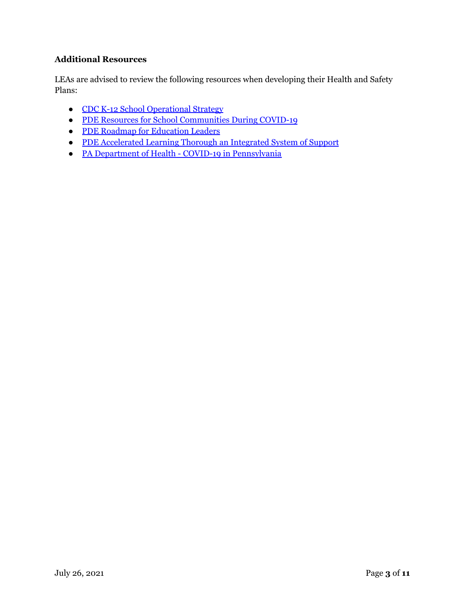# **Additional Resources**

LEAs are advised to review the following resources when developing their Health and Safety Plans:

- CDC K-12 School [Operational](https://www.cdc.gov/coronavirus/2019-ncov/community/schools-childcare/operation-strategy.html?CDC_AA_refVal=https%3A%2F%2Fwww.cdc.gov%2Fcoronavirus%2F2019-ncov%2Fcommunity%2Fschools-childcare%2Fschools.html) Strategy
- PDE Resources for School [Communities](https://www.education.pa.gov/Schools/safeschools/emergencyplanning/COVID-19/Pages/default.aspx) During COVID-19
- PDE Roadmap for [Education](https://www.education.pa.gov/Schools/safeschools/emergencyplanning/COVID-19/SchoolReopeningGuidance/ReopeningPreKto12/CreatingEquitableSchoolSystems/Pages/default.aspx) Leaders
- PDE [Accelerated](https://www.education.pa.gov/Schools/safeschools/emergencyplanning/COVID-19/SchoolReopeningGuidance/ReopeningPreKto12/CreatingEquitableSchoolSystems/AcceleratedLearning/Pages/default.aspx) Learning Thorough an Integrated System of Support
- PA Department of Health COVID-19 in [Pennsylvania](https://www.health.pa.gov/topics/disease/coronavirus/Pages/Coronavirus.aspx)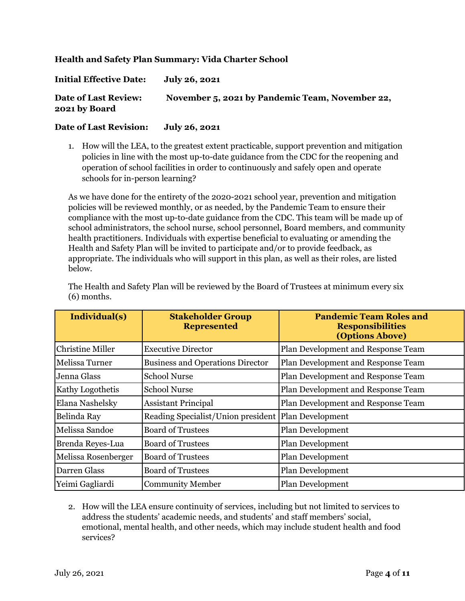## **Health and Safety Plan Summary: Vida Charter School**

| <b>Initial Effective Date:</b>               | July 26, 2021                                   |
|----------------------------------------------|-------------------------------------------------|
| <b>Date of Last Review:</b><br>2021 by Board | November 5, 2021 by Pandemic Team, November 22, |

#### **Date of Last Revision: July 26, 2021**

1. How will the LEA, to the greatest extent practicable, support prevention and mitigation policies in line with the most up-to-date guidance from the CDC for the reopening and operation of school facilities in order to continuously and safely open and operate schools for in-person learning?

As we have done for the entirety of the 2020-2021 school year, prevention and mitigation policies will be reviewed monthly, or as needed, by the Pandemic Team to ensure their compliance with the most up-to-date guidance from the CDC. This team will be made up of school administrators, the school nurse, school personnel, Board members, and community health practitioners. Individuals with expertise beneficial to evaluating or amending the Health and Safety Plan will be invited to participate and/or to provide feedback, as appropriate. The individuals who will support in this plan, as well as their roles, are listed below.

| Individual(s)           | <b>Stakeholder Group</b><br><b>Represented</b> | <b>Pandemic Team Roles and</b><br><b>Responsibilities</b><br>(Options Above) |
|-------------------------|------------------------------------------------|------------------------------------------------------------------------------|
| Christine Miller        | <b>Executive Director</b>                      | Plan Development and Response Team                                           |
| Melissa Turner          | <b>Business and Operations Director</b>        | Plan Development and Response Team                                           |
| Jenna Glass             | <b>School Nurse</b>                            | Plan Development and Response Team                                           |
| <b>Kathy Logothetis</b> | <b>School Nurse</b>                            | Plan Development and Response Team                                           |
| Elana Nashelsky         | <b>Assistant Principal</b>                     | Plan Development and Response Team                                           |
| Belinda Ray             | Reading Specialist/Union president             | Plan Development                                                             |
| Melissa Sandoe          | <b>Board of Trustees</b>                       | <b>Plan Development</b>                                                      |
| Brenda Reyes-Lua        | <b>Board of Trustees</b>                       | Plan Development                                                             |
| Melissa Rosenberger     | <b>Board of Trustees</b>                       | Plan Development                                                             |
| Darren Glass            | <b>Board of Trustees</b>                       | Plan Development                                                             |
| Yeimi Gagliardi         | <b>Community Member</b>                        | Plan Development                                                             |

The Health and Safety Plan will be reviewed by the Board of Trustees at minimum every six (6) months.

2. How will the LEA ensure continuity of services, including but not limited to services to address the students' academic needs, and students' and staff members' social, emotional, mental health, and other needs, which may include student health and food services?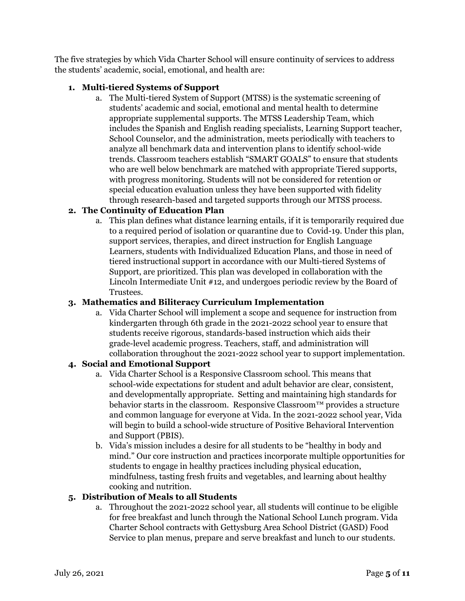The five strategies by which Vida Charter School will ensure continuity of services to address the students' academic, social, emotional, and health are:

## **1. Multi-tiered Systems of Support**

a. The Multi-tiered System of Support (MTSS) is the systematic screening of students' academic and social, emotional and mental health to determine appropriate supplemental supports. The MTSS Leadership Team, which includes the Spanish and English reading specialists, Learning Support teacher, School Counselor, and the administration, meets periodically with teachers to analyze all benchmark data and intervention plans to identify school-wide trends. Classroom teachers establish "SMART GOALS" to ensure that students who are well below benchmark are matched with appropriate Tiered supports, with progress monitoring. Students will not be considered for retention or special education evaluation unless they have been supported with fidelity through research-based and targeted supports through our MTSS process.

# **2. The Continuity of Education Plan**

a. This plan defines what distance learning entails, if it is temporarily required due to a required period of isolation or quarantine due to Covid-19. Under this plan, support services, therapies, and direct instruction for English Language Learners, students with Individualized Education Plans, and those in need of tiered instructional support in accordance with our Multi-tiered Systems of Support, are prioritized. This plan was developed in collaboration with the Lincoln Intermediate Unit #12, and undergoes periodic review by the Board of Trustees.

#### **3. Mathematics and Biliteracy Curriculum Implementation**

a. Vida Charter School will implement a scope and sequence for instruction from kindergarten through 6th grade in the 2021-2022 school year to ensure that students receive rigorous, standards-based instruction which aids their grade-level academic progress. Teachers, staff, and administration will collaboration throughout the 2021-2022 school year to support implementation.

#### **4. Social and Emotional Support**

- a. Vida Charter School is a Responsive Classroom school. This means that school-wide expectations for student and adult behavior are clear, consistent, and developmentally appropriate. Setting and maintaining high standards for behavior starts in the classroom. Responsive Classroom™ provides a structure and common language for everyone at Vida. In the 2021-2022 school year, Vida will begin to build a school-wide structure of Positive Behavioral Intervention and Support (PBIS).
- b. Vida's mission includes a desire for all students to be "healthy in body and mind." Our core instruction and practices incorporate multiple opportunities for students to engage in healthy practices including physical education, mindfulness, tasting fresh fruits and vegetables, and learning about healthy cooking and nutrition.

#### **5. Distribution of Meals to all Students**

a. Throughout the 2021-2022 school year, all students will continue to be eligible for free breakfast and lunch through the National School Lunch program. Vida Charter School contracts with Gettysburg Area School District (GASD) Food Service to plan menus, prepare and serve breakfast and lunch to our students.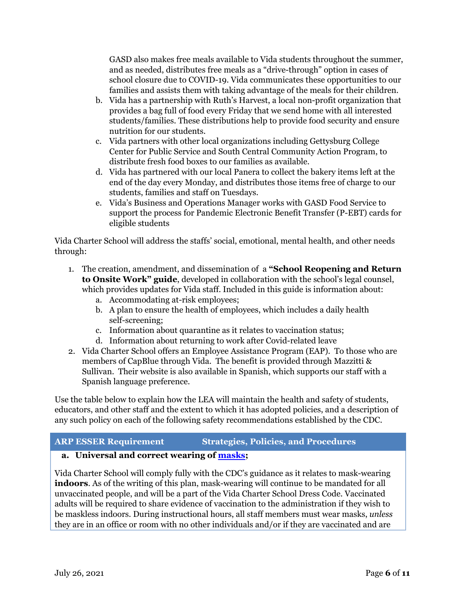GASD also makes free meals available to Vida students throughout the summer, and as needed, distributes free meals as a "drive-through" option in cases of school closure due to COVID-19. Vida communicates these opportunities to our families and assists them with taking advantage of the meals for their children.

- b. Vida has a partnership with Ruth's Harvest, a local non-profit organization that provides a bag full of food every Friday that we send home with all interested students/families. These distributions help to provide food security and ensure nutrition for our students.
- c. Vida partners with other local organizations including Gettysburg College Center for Public Service and South Central Community Action Program, to distribute fresh food boxes to our families as available.
- d. Vida has partnered with our local Panera to collect the bakery items left at the end of the day every Monday, and distributes those items free of charge to our students, families and staff on Tuesdays.
- e. Vida's Business and Operations Manager works with GASD Food Service to support the process for Pandemic Electronic Benefit Transfer (P-EBT) cards for eligible students

Vida Charter School will address the staffs' social, emotional, mental health, and other needs through:

- 1. The creation, amendment, and dissemination of a **"School Reopening and Return to Onsite Work" guide**, developed in collaboration with the school's legal counsel, which provides updates for Vida staff. Included in this guide is information about:
	- a. Accommodating at-risk employees;
	- b. A plan to ensure the health of employees, which includes a daily health self-screening;
	- c. Information about quarantine as it relates to vaccination status;
	- d. Information about returning to work after Covid-related leave
- 2. Vida Charter School offers an Employee Assistance Program (EAP). To those who are members of CapBlue through Vida. The benefit is provided through Mazzitti & Sullivan. Their website is also available in Spanish, which supports our staff with a Spanish language preference.

Use the table below to explain how the LEA will maintain the health and safety of students, educators, and other staff and the extent to which it has adopted policies, and a description of any such policy on each of the following safety recommendations established by the CDC.

#### **ARP ESSER Requirement Strategies, Policies, and Procedures**

# **a. Universal and correct wearing of [masks](https://www.cdc.gov/coronavirus/2019-ncov/prevent-getting-sick/cloth-face-cover-guidance.html?CDC_AA_refVal=https%3A%2F%2Fwww.cdc.gov%2Fcoronavirus%2F2019-ncov%2Fcommunity%2Fschools-childcare%2Fcloth-face-cover.html);**

Vida Charter School will comply fully with the CDC's guidance as it relates to mask-wearing **indoors**. As of the writing of this plan, mask-wearing will continue to be mandated for all unvaccinated people, and will be a part of the Vida Charter School Dress Code. Vaccinated adults will be required to share evidence of vaccination to the administration if they wish to be maskless indoors. During instructional hours, all staff members must wear masks, *unless* they are in an office or room with no other individuals and/or if they are vaccinated and are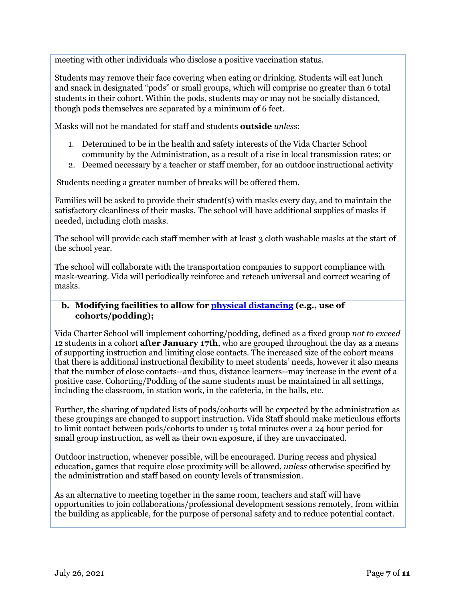meeting with other individuals who disclose a positive vaccination status.

Students may remove their face covering when eating or drinking. Students will eat lunch and snack in designated "pods" or small groups, which will comprise no greater than 6 total students in their cohort. Within the pods, students may or may not be socially distanced, though pods themselves are separated by a minimum of 6 feet.

Masks will not be mandated for staff and students **outside** *unless*:

- 1. Determined to be in the health and safety interests of the Vida Charter School community by the Administration, as a result of a rise in local transmission rates; or
- 2. Deemed necessary by a teacher or staff member, for an outdoor instructional activity

Students needing a greater number of breaks will be offered them.

Families will be asked to provide their student(s) with masks every day, and to maintain the satisfactory cleanliness of their masks. The school will have additional supplies of masks if needed, including cloth masks.

The school will provide each staff member with at least 3 cloth washable masks at the start of the school year.

The school will collaborate with the transportation companies to support compliance with mask-wearing. Vida will periodically reinforce and reteach universal and correct wearing of masks.

## **b. Modifying facilities to allow for physical [distancing](https://www.cdc.gov/coronavirus/2019-ncov/prevent-getting-sick/social-distancing.html) (e.g., use of cohorts/podding);**

Vida Charter School will implement cohorting/podding, defined as a fixed group *not to exceed* 12 students in a cohort **after January 17th**, who are grouped throughout the day as a means of supporting instruction and limiting close contacts. The increased size of the cohort means that there is additional instructional flexibility to meet students' needs, however it also means that the number of close contacts--and thus, distance learners--may increase in the event of a positive case. Cohorting/Podding of the same students must be maintained in all settings, including the classroom, in station work, in the cafeteria, in the halls, etc.

Further, the sharing of updated lists of pods/cohorts will be expected by the administration as these groupings are changed to support instruction. Vida Staff should make meticulous efforts to limit contact between pods/cohorts to under 15 total minutes over a 24 hour period for small group instruction, as well as their own exposure, if they are unvaccinated.

Outdoor instruction, whenever possible, will be encouraged. During recess and physical education, games that require close proximity will be allowed, *unless* otherwise specified by the administration and staff based on county levels of transmission.

As an alternative to meeting together in the same room, teachers and staff will have opportunities to join collaborations/professional development sessions remotely, from within the building as applicable, for the purpose of personal safety and to reduce potential contact.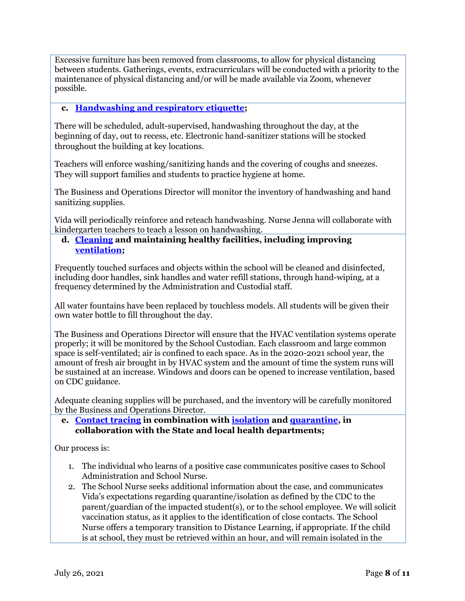Excessive furniture has been removed from classrooms, to allow for physical distancing between students. Gatherings, events, extracurriculars will be conducted with a priority to the maintenance of physical distancing and/or will be made available via Zoom, whenever possible.

## **c. [Handwashing](https://www.cdc.gov/handwashing/when-how-handwashing.html) and respiratory etiquette;**

There will be scheduled, adult-supervised, handwashing throughout the day, at the beginning of day, out to recess, etc. Electronic hand-sanitizer stations will be stocked throughout the building at key locations.

Teachers will enforce washing/sanitizing hands and the covering of coughs and sneezes. They will support families and students to practice hygiene at home.

The Business and Operations Director will monitor the inventory of handwashing and hand sanitizing supplies.

Vida will periodically reinforce and reteach handwashing. Nurse Jenna will collaborate with kindergarten teachers to teach a lesson on handwashing.

#### **d. [Cleaning](https://www.cdc.gov/coronavirus/2019-ncov/community/clean-disinfect/index.html) and maintaining healthy facilities, including improving [ventilation;](https://www.cdc.gov/coronavirus/2019-ncov/community/schools-childcare/ventilation.html)**

Frequently touched surfaces and objects within the school will be cleaned and disinfected, including door handles, sink handles and water refill stations, through hand-wiping, at a frequency determined by the Administration and Custodial staff.

All water fountains have been replaced by touchless models. All students will be given their own water bottle to fill throughout the day.

The Business and Operations Director will ensure that the HVAC ventilation systems operate properly; it will be monitored by the School Custodian. Each classroom and large common space is self-ventilated; air is confined to each space. As in the 2020-2021 school year, the amount of fresh air brought in by HVAC system and the amount of time the system runs will be sustained at an increase. Windows and doors can be opened to increase ventilation, based on CDC guidance.

Adequate cleaning supplies will be purchased, and the inventory will be carefully monitored by the Business and Operations Director.

**e. [Contact](https://www.cdc.gov/coronavirus/2019-ncov/php/contact-tracing/contact-tracing-resources.html?CDC_AA_refVal=https%3A%2F%2Fwww.cdc.gov%2Fcoronavirus%2F2019-ncov%2Fphp%2Fopen-america%2Fcontact-tracing-resources.html) tracing in combination with [isolation](https://www.cdc.gov/coronavirus/2019-ncov/if-you-are-sick/isolation.html) and [quarantine](https://www.cdc.gov/coronavirus/2019-ncov/if-you-are-sick/quarantine.html), in collaboration with the State and local health departments;**

Our process is:

- 1. The individual who learns of a positive case communicates positive cases to School Administration and School Nurse.
- 2. The School Nurse seeks additional information about the case, and communicates Vida's expectations regarding quarantine/isolation as defined by the CDC to the parent/guardian of the impacted student(s), or to the school employee. We will solicit vaccination status, as it applies to the identification of close contacts. The School Nurse offers a temporary transition to Distance Learning, if appropriate. If the child is at school, they must be retrieved within an hour, and will remain isolated in the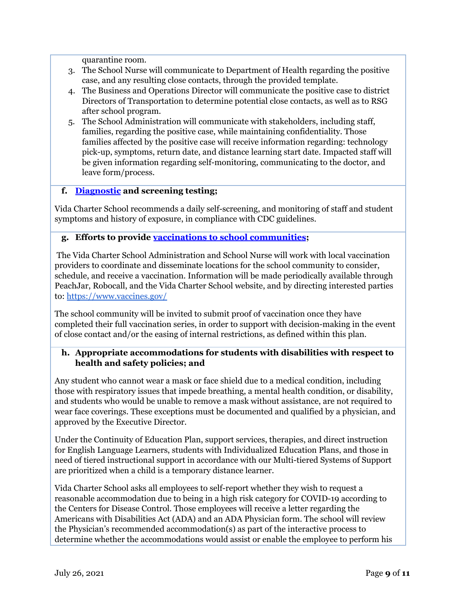quarantine room.

- 3. The School Nurse will communicate to Department of Health regarding the positive case, and any resulting close contacts, through the provided template.
- 4. The Business and Operations Director will communicate the positive case to district Directors of Transportation to determine potential close contacts, as well as to RSG after school program.
- 5. The School Administration will communicate with stakeholders, including staff, families, regarding the positive case, while maintaining confidentiality. Those families affected by the positive case will receive information regarding: technology pick-up, symptoms, return date, and distance learning start date. Impacted staff will be given information regarding self-monitoring, communicating to the doctor, and leave form/process.

# **f. [Diagnostic](https://www.cdc.gov/coronavirus/2019-ncov/lab/pooling-procedures.html) and screening testing;**

Vida Charter School recommends a daily self-screening, and monitoring of staff and student symptoms and history of exposure, in compliance with CDC guidelines.

## **g. Efforts to provide vaccinations to school [communities](https://www.cdc.gov/coronavirus/2019-ncov/vaccines/toolkits/schools-childcare.html);**

The Vida Charter School Administration and School Nurse will work with local vaccination providers to coordinate and disseminate locations for the school community to consider, schedule, and receive a vaccination. Information will be made periodically available through PeachJar, Robocall, and the Vida Charter School website, and by directing interested parties to: <https://www.vaccines.gov/>

The school community will be invited to submit proof of vaccination once they have completed their full vaccination series, in order to support with decision-making in the event of close contact and/or the easing of internal restrictions, as defined within this plan.

# **h. Appropriate accommodations for students with disabilities with respect to health and safety policies; and**

Any student who cannot wear a mask or face shield due to a medical condition, including those with respiratory issues that impede breathing, a mental health condition, or disability, and students who would be unable to remove a mask without assistance, are not required to wear face coverings. These exceptions must be documented and qualified by a physician, and approved by the Executive Director.

Under the Continuity of Education Plan, support services, therapies, and direct instruction for English Language Learners, students with Individualized Education Plans, and those in need of tiered instructional support in accordance with our Multi-tiered Systems of Support are prioritized when a child is a temporary distance learner.

Vida Charter School asks all employees to self-report whether they wish to request a reasonable accommodation due to being in a high risk category for COVID-19 according to the Centers for Disease Control. Those employees will receive a letter regarding the Americans with Disabilities Act (ADA) and an ADA Physician form. The school will review the Physician's recommended accommodation(s) as part of the interactive process to determine whether the accommodations would assist or enable the employee to perform his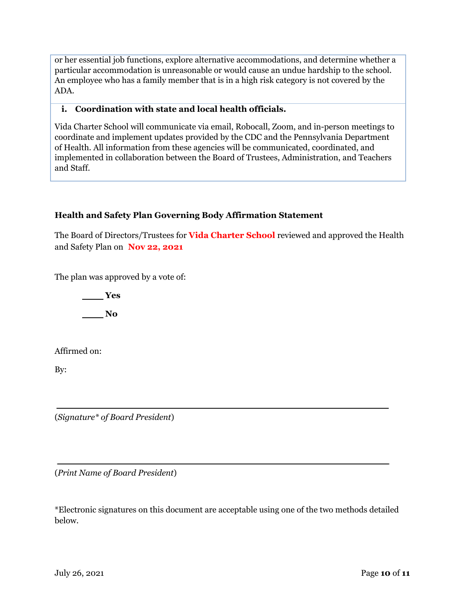or her essential job functions, explore alternative accommodations, and determine whether a particular accommodation is unreasonable or would cause an undue hardship to the school. An employee who has a family member that is in a high risk category is not covered by the ADA.

## **i. Coordination with state and local health officials.**

Vida Charter School will communicate via email, Robocall, Zoom, and in-person meetings to coordinate and implement updates provided by the CDC and the Pennsylvania Department of Health. All information from these agencies will be communicated, coordinated, and implemented in collaboration between the Board of Trustees, Administration, and Teachers and Staff.

# **Health and Safety Plan Governing Body Affirmation Statement**

The Board of Directors/Trustees for **Vida Charter School** reviewed and approved the Health and Safety Plan on **Nov 22, 2021**

The plan was approved by a vote of:

**Yes No**

Affirmed on:

By:

(*Signature\* of Board President*)

(*Print Name of Board President*)

\*Electronic signatures on this document are acceptable using one of the two methods detailed below.